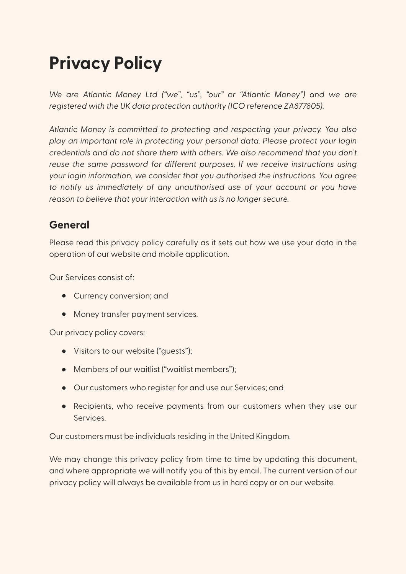# **Privacy Policy**

*We are Atlantic Money Ltd ("we", "us", "our" or "Atlantic Money") and we are registered with the UK data protection authority (ICO reference ZA877805).*

*Atlantic Money is committed to protecting and respecting your privacy. You also play an important role in protecting your personal data. Please protect your login credentials and do not share them with others. We also recommend that you don't reuse the same password for different purposes. If we receive instructions using your login information, we consider that you authorised the instructions. You agree to notify us immediately of any unauthorised use of your account or you have reason to believe that your interaction with us is no longer secure.*

### **General**

Please read this privacy policy carefully as it sets out how we use your data in the operation of our website and mobile application.

Our Services consist of:

- Currency conversion; and
- Money transfer payment services.

Our privacy policy covers:

- Visitors to our website ("guests");
- Members of our waitlist ("waitlist members");
- Our customers who register for and use our Services; and
- Recipients, who receive payments from our customers when they use our Services.

Our customers must be individuals residing in the United Kingdom.

We may change this privacy policy from time to time by updating this document, and where appropriate we will notify you of this by email. The current version of our privacy policy will always be available from us in hard copy or on our website.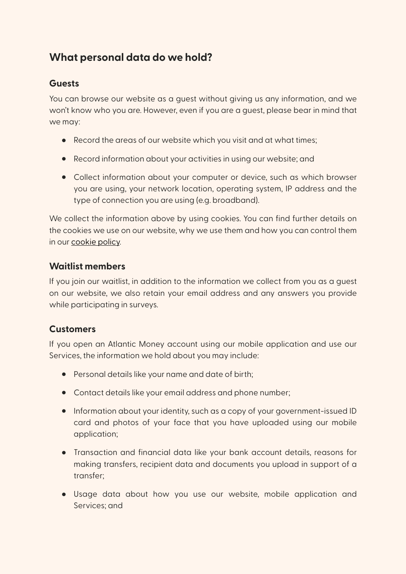## **What personal data do we hold?**

#### **Guests**

You can browse our website as a guest without giving us any information, and we won't know who you are. However, even if you are a guest, please bear in mind that we may:

- Record the areas of our website which you visit and at what times;
- Record information about your activities in using our website; and
- Collect information about your computer or device, such as which browser you are using, your network location, operating system, IP address and the type of connection you are using (e.g. broadband).

We collect the information above by using cookies. You can find further details on the cookies we use on our website, why we use them and how you can control them in our [cookie policy.](https://atlantic.money/l/cookie-policy)

#### **Waitlist members**

If you join our waitlist, in addition to the information we collect from you as a guest on our website, we also retain your email address and any answers you provide while participating in surveys.

#### **Customers**

If you open an Atlantic Money account using our mobile application and use our Services, the information we hold about you may include:

- Personal details like your name and date of birth;
- Contact details like your email address and phone number;
- Information about your identity, such as a copy of your government-issued ID card and photos of your face that you have uploaded using our mobile application;
- Transaction and financial data like your bank account details, reasons for making transfers, recipient data and documents you upload in support of a transfer;
- Usage data about how you use our website, mobile application and Services; and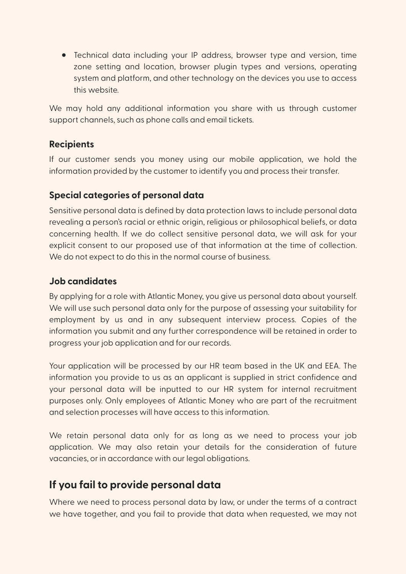• Technical data including your IP address, browser type and version, time zone setting and location, browser plugin types and versions, operating system and platform, and other technology on the devices you use to access this website.

We may hold any additional information you share with us through customer support channels, such as phone calls and email tickets.

#### **Recipients**

If our customer sends you money using our mobile application, we hold the information provided by the customer to identify you and process their transfer.

#### **Special categories of personal data**

Sensitive personal data is defined by data protection laws to include personal data revealing a person's racial or ethnic origin, religious or philosophical beliefs, or data concerning health. If we do collect sensitive personal data, we will ask for your explicit consent to our proposed use of that information at the time of collection. We do not expect to do this in the normal course of business.

#### **Job candidates**

By applying for a role with Atlantic Money, you give us personal data about yourself. We will use such personal data only for the purpose of assessing your suitability for employment by us and in any subsequent interview process. Copies of the information you submit and any further correspondence will be retained in order to progress your job application and for our records.

Your application will be processed by our HR team based in the UK and EEA. The information you provide to us as an applicant is supplied in strict confidence and your personal data will be inputted to our HR system for internal recruitment purposes only. Only employees of Atlantic Money who are part of the recruitment and selection processes will have access to this information.

We retain personal data only for as long as we need to process your job application. We may also retain your details for the consideration of future vacancies, or in accordance with our legal obligations.

## **If you fail to provide personal data**

Where we need to process personal data by law, or under the terms of a contract we have together, and you fail to provide that data when requested, we may not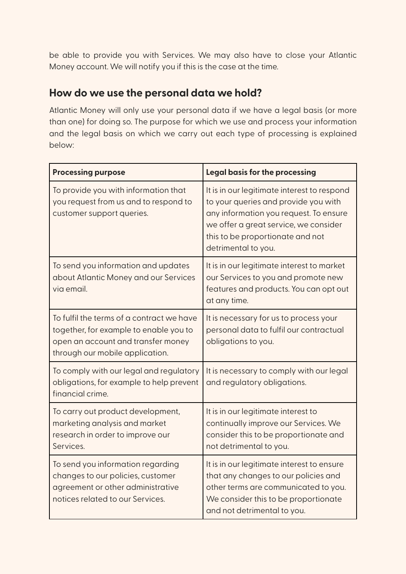be able to provide you with Services. We may also have to close your Atlantic Money account. We will notify you if this is the case at the time.

#### **How do we use the personal data we hold?**

Atlantic Money will only use your personal data if we have a legal basis (or more than one) for doing so. The purpose for which we use and process your information and the legal basis on which we carry out each type of processing is explained below:

| <b>Processing purpose</b>                                                                                                                                    | Legal basis for the processing                                                                                                                                                                                                    |
|--------------------------------------------------------------------------------------------------------------------------------------------------------------|-----------------------------------------------------------------------------------------------------------------------------------------------------------------------------------------------------------------------------------|
| To provide you with information that<br>you request from us and to respond to<br>customer support queries.                                                   | It is in our legitimate interest to respond<br>to your queries and provide you with<br>any information you request. To ensure<br>we offer a great service, we consider<br>this to be proportionate and not<br>detrimental to you. |
| To send you information and updates<br>about Atlantic Money and our Services<br>via email.                                                                   | It is in our legitimate interest to market<br>our Services to you and promote new<br>features and products. You can opt out<br>at any time.                                                                                       |
| To fulfil the terms of a contract we have<br>together, for example to enable you to<br>open an account and transfer money<br>through our mobile application. | It is necessary for us to process your<br>personal data to fulfil our contractual<br>obligations to you.                                                                                                                          |
| To comply with our legal and regulatory<br>obligations, for example to help prevent<br>financial crime.                                                      | It is necessary to comply with our legal<br>and regulatory obligations.                                                                                                                                                           |
| To carry out product development,<br>marketing analysis and market<br>research in order to improve our<br>Services.                                          | It is in our legitimate interest to<br>continually improve our Services. We<br>consider this to be proportionate and<br>not detrimental to you.                                                                                   |
| To send you information regarding<br>changes to our policies, customer<br>agreement or other administrative<br>notices related to our Services.              | It is in our legitimate interest to ensure<br>that any changes to our policies and<br>other terms are communicated to you.<br>We consider this to be proportionate<br>and not detrimental to you.                                 |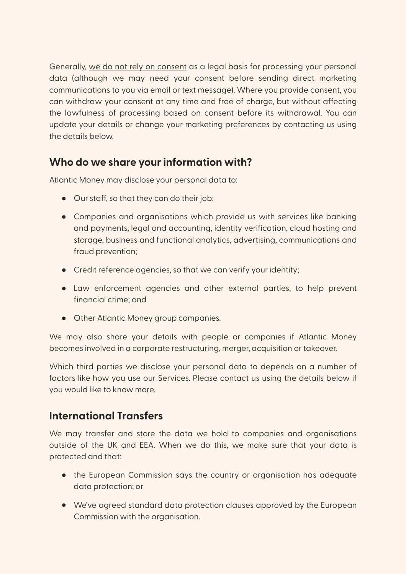Generally, we do not rely on consent as a legal basis for processing your personal data (although we may need your consent before sending direct marketing communications to you via email or text message). Where you provide consent, you can withdraw your consent at any time and free of charge, but without affecting the lawfulness of processing based on consent before its withdrawal. You can update your details or change your marketing preferences by contacting us using the details below.

## **Who do we share your information with?**

Atlantic Money may disclose your personal data to:

- Our staff, so that they can do their job;
- Companies and organisations which provide us with services like banking and payments, legal and accounting, identity verification, cloud hosting and storage, business and functional analytics, advertising, communications and fraud prevention;
- Credit reference agencies, so that we can verify your identity;
- Law enforcement agencies and other external parties, to help prevent financial crime; and
- Other Atlantic Money group companies.

We may also share your details with people or companies if Atlantic Money becomes involved in a corporate restructuring, merger, acquisition or takeover.

Which third parties we disclose your personal data to depends on a number of factors like how you use our Services. Please contact us using the details below if you would like to know more.

#### **International Transfers**

We may transfer and store the data we hold to companies and organisations outside of the UK and EEA. When we do this, we make sure that your data is protected and that:

- the European Commission says the country or organisation has adequate data protection; or
- We've agreed standard data protection clauses approved by the European Commission with the organisation.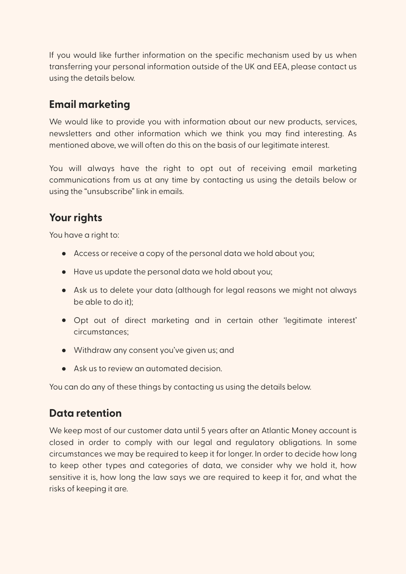If you would like further information on the specific mechanism used by us when transferring your personal information outside of the UK and EEA, please contact us using the details below.

## **Email marketing**

We would like to provide you with information about our new products, services, newsletters and other information which we think you may find interesting. As mentioned above, we will often do this on the basis of our legitimate interest.

You will always have the right to opt out of receiving email marketing communications from us at any time by contacting us using the details below or using the "unsubscribe" link in emails.

## **Your rights**

You have a right to:

- Access or receive a copy of the personal data we hold about you;
- Have us update the personal data we hold about you;
- Ask us to delete your data (although for legal reasons we might not always be able to do it);
- Opt out of direct marketing and in certain other 'legitimate interest' circumstances;
- Withdraw any consent you've given us; and
- Ask us to review an automated decision.

You can do any of these things by contacting us using the details below.

#### **Data retention**

We keep most of our customer data until 5 years after an Atlantic Money account is closed in order to comply with our legal and regulatory obligations. In some circumstances we may be required to keep it for longer. In order to decide how long to keep other types and categories of data, we consider why we hold it, how sensitive it is, how long the law says we are required to keep it for, and what the risks of keeping it are.